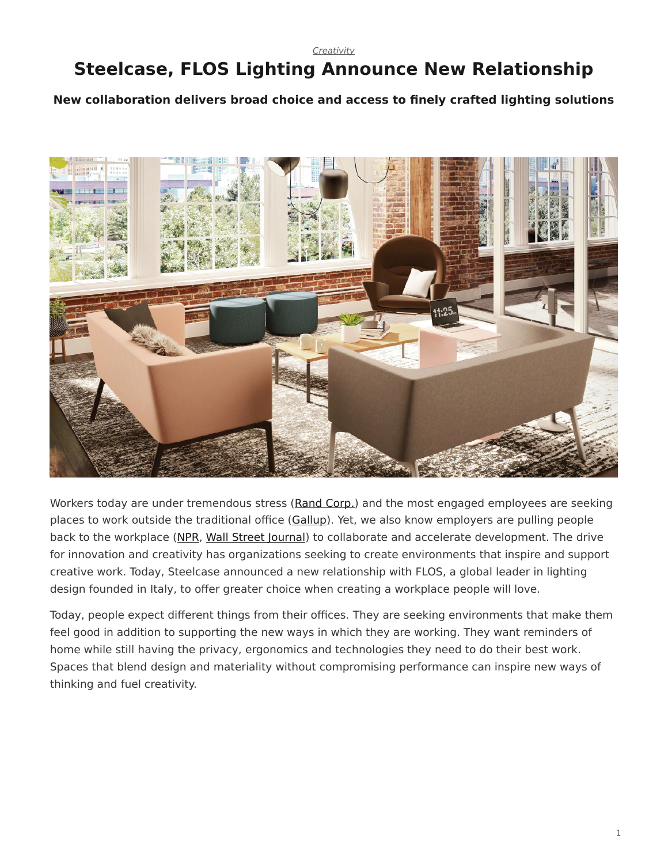*[Creativity](https://www.steelcase.com/research/topics/creativity/)*

## <span id="page-0-0"></span>**Steelcase, FLOS Lighting Announce New Relationship**

**New collaboration delivers broad choice and access to finely crafted lighting solutions**



Workers today are under tremendous stress [\(Rand Corp.](https://www.rand.org/pubs/research_reports/RR2014.html)) and the most engaged employees are seeking places to work outside the traditional office ([Gallup](https://www.steelcase.com/research/articles/topics/employee-engagement/people-searching-better-places-work/)). Yet, we also know employers are pulling people back to the workplace [\(NPR,](http://www.npr.org/sections/alltechconsidered/2017/07/11/535398716/some-employers-are-rethinking-telework-citing-a-need-for-better-collaboration?ft=nprml&f=535398716) [Wall Street Journal](https://www.wsj.com/articles/ibm-a-pioneer-of-remote-work-calls-workers-back-to-the-office-1495108802?utm_content=buffere071c&utm_medium=social&utm_source=twitter.com&utm_campaign=buffer)) to collaborate and accelerate development. The drive for innovation and creativity has organizations seeking to create environments that inspire and support creative work. Today, Steelcase announced a new relationship with FLOS, a global leader in lighting design founded in Italy, to offer greater choice when creating a workplace people will love.

Today, people expect different things from their offices. They are seeking environments that make them feel good in addition to supporting the new ways in which they are working. They want reminders of home while still having the privacy, ergonomics and technologies they need to do their best work. Spaces that blend design and materiality without compromising performance can inspire new ways of thinking and fuel creativity.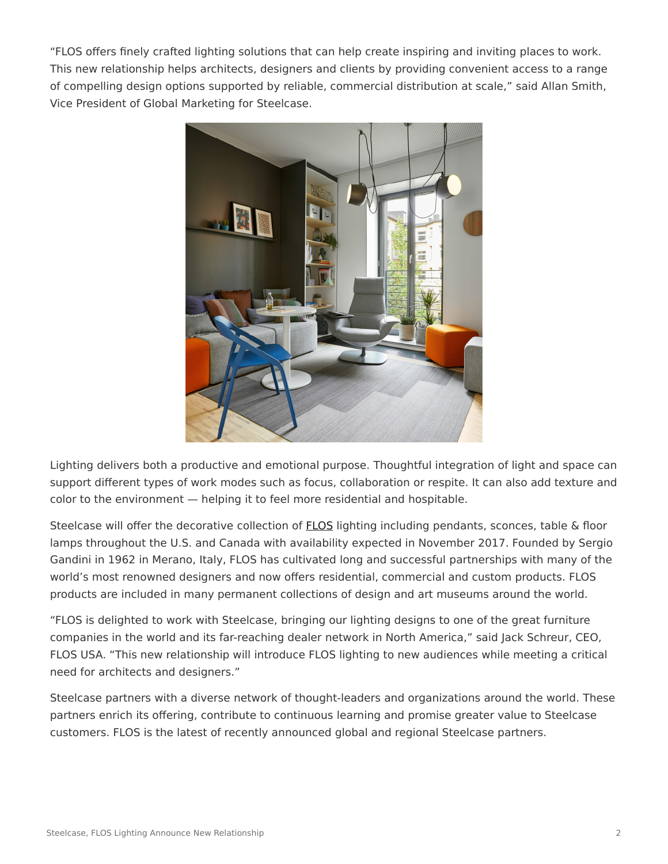"FLOS offers finely crafted lighting solutions that can help create inspiring and inviting places to work. This new relationship helps architects, designers and clients by providing convenient access to a range of compelling design options supported by reliable, commercial distribution at scale," said Allan Smith, Vice President of Global Marketing for Steelcase.



Lighting delivers both a productive and emotional purpose. Thoughtful integration of light and space can support different types of work modes such as focus, collaboration or respite. It can also add texture and color to the environment — helping it to feel more residential and hospitable.

Steelcase will offer the decorative collection of [FLOS](https://www.steelcase.com/discover/brands/steelcase/) lighting including pendants, sconces, table & floor lamps throughout the U.S. and Canada with availability expected in November 2017. Founded by Sergio Gandini in 1962 in Merano, Italy, FLOS has cultivated long and successful partnerships with many of the world's most renowned designers and now offers residential, commercial and custom products. FLOS products are included in many permanent collections of design and art museums around the world.

"FLOS is delighted to work with Steelcase, bringing our lighting designs to one of the great furniture companies in the world and its far-reaching dealer network in North America," said Jack Schreur, CEO, FLOS USA. "This new relationship will introduce FLOS lighting to new audiences while meeting a critical need for architects and designers."

Steelcase partners with a diverse network of thought-leaders and organizations around the world. These partners enrich its offering, contribute to continuous learning and promise greater value to Steelcase customers. FLOS is the latest of recently announced global and regional Steelcase partners.